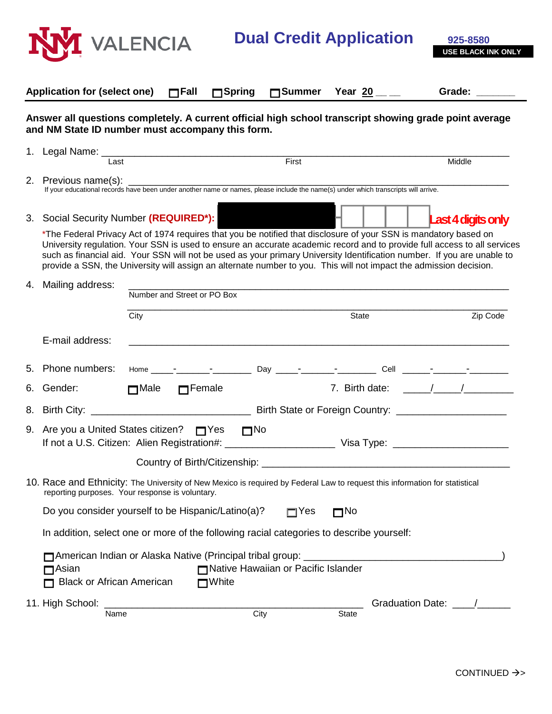

**Dual Credit Application** 925-8580

|                                                                                          | <b>Application for (select one)</b>                                                                                                                                                                                                                                                                                                                                                                                                                                                           |      | $\Box$ Fall                 | $\Box$ Spring | $\Box$ Summer                       | Year 20 $\_$                                                                                                          |                    | Grade:                    |
|------------------------------------------------------------------------------------------|-----------------------------------------------------------------------------------------------------------------------------------------------------------------------------------------------------------------------------------------------------------------------------------------------------------------------------------------------------------------------------------------------------------------------------------------------------------------------------------------------|------|-----------------------------|---------------|-------------------------------------|-----------------------------------------------------------------------------------------------------------------------|--------------------|---------------------------|
|                                                                                          | Answer all questions completely. A current official high school transcript showing grade point average<br>and NM State ID number must accompany this form.                                                                                                                                                                                                                                                                                                                                    |      |                             |               |                                     |                                                                                                                       |                    |                           |
|                                                                                          | Last                                                                                                                                                                                                                                                                                                                                                                                                                                                                                          |      |                             |               | First                               |                                                                                                                       |                    | Middle                    |
|                                                                                          | 2. Previous name(s):<br>Previous name(s):<br>If your educational records have been under another name or names, please include the name(s) under which transcripts will arrive.                                                                                                                                                                                                                                                                                                               |      |                             |               |                                     |                                                                                                                       |                    |                           |
|                                                                                          | 3. Social Security Number (REQUIRED*):                                                                                                                                                                                                                                                                                                                                                                                                                                                        |      |                             |               |                                     |                                                                                                                       |                    | <b>Last 4 digits only</b> |
|                                                                                          | *The Federal Privacy Act of 1974 requires that you be notified that disclosure of your SSN is mandatory based on<br>University regulation. Your SSN is used to ensure an accurate academic record and to provide full access to all services<br>such as financial aid. Your SSN will not be used as your primary University Identification number. If you are unable to<br>provide a SSN, the University will assign an alternate number to you. This will not impact the admission decision. |      |                             |               |                                     |                                                                                                                       |                    |                           |
| 4.                                                                                       | Mailing address:                                                                                                                                                                                                                                                                                                                                                                                                                                                                              |      | Number and Street or PO Box |               |                                     |                                                                                                                       |                    |                           |
|                                                                                          |                                                                                                                                                                                                                                                                                                                                                                                                                                                                                               | City |                             |               |                                     | State                                                                                                                 |                    | Zip Code                  |
|                                                                                          | E-mail address:                                                                                                                                                                                                                                                                                                                                                                                                                                                                               |      |                             |               |                                     | <u> 1989 - Johann Stoff, deutscher Stoff, der Stoff, der Stoff, der Stoff, der Stoff, der Stoff, der Stoff, der S</u> |                    |                           |
|                                                                                          | 5. Phone numbers:                                                                                                                                                                                                                                                                                                                                                                                                                                                                             |      |                             |               |                                     |                                                                                                                       |                    |                           |
| 6.                                                                                       | Gender: <b>Example</b>                                                                                                                                                                                                                                                                                                                                                                                                                                                                        |      | Male <b>Female</b>          |               |                                     |                                                                                                                       |                    |                           |
|                                                                                          |                                                                                                                                                                                                                                                                                                                                                                                                                                                                                               |      |                             |               |                                     |                                                                                                                       |                    |                           |
|                                                                                          | 9. Are you a United States citizen? $\Box$ Yes $\Box$ No                                                                                                                                                                                                                                                                                                                                                                                                                                      |      |                             |               |                                     |                                                                                                                       |                    |                           |
|                                                                                          |                                                                                                                                                                                                                                                                                                                                                                                                                                                                                               |      |                             |               |                                     |                                                                                                                       |                    |                           |
|                                                                                          | 10. Race and Ethnicity: The University of New Mexico is required by Federal Law to request this information for statistical<br>reporting purposes. Your response is voluntary.                                                                                                                                                                                                                                                                                                                |      |                             |               |                                     |                                                                                                                       |                    |                           |
|                                                                                          | Do you consider yourself to be Hispanic/Latino(a)?<br>$\Box$ No<br>$\Box$ Yes                                                                                                                                                                                                                                                                                                                                                                                                                 |      |                             |               |                                     |                                                                                                                       |                    |                           |
| In addition, select one or more of the following racial categories to describe yourself: |                                                                                                                                                                                                                                                                                                                                                                                                                                                                                               |      |                             |               |                                     |                                                                                                                       |                    |                           |
|                                                                                          | American Indian or Alaska Native (Principal tribal group: __________<br>$\Box$ Asian<br><b>Black or African American</b>                                                                                                                                                                                                                                                                                                                                                                      |      | $\blacksquare$ White        |               | Native Hawaiian or Pacific Islander |                                                                                                                       |                    |                           |
|                                                                                          | 11. High School:<br>Name                                                                                                                                                                                                                                                                                                                                                                                                                                                                      |      |                             | City          |                                     | <b>State</b>                                                                                                          | Graduation Date: _ |                           |